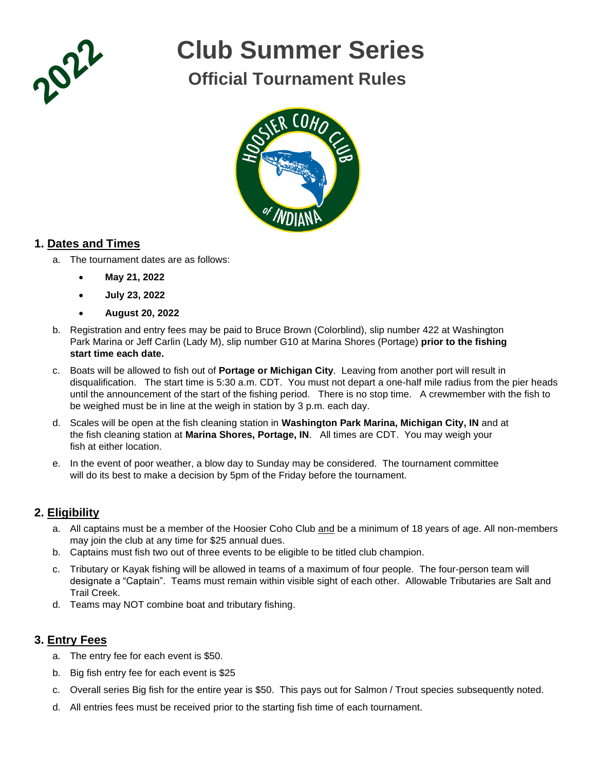

# **Club Summer Series**

# **Official Tournament Rules**



## **1. Dates and Times**

- a. The tournament dates are as follows:
	- **May 21, 2022**
	- **July 23, 2022**
	- **August 20, 2022**
- b. Registration and entry fees may be paid to Bruce Brown (Colorblind), slip number 422 at Washington Park Marina or Jeff Carlin (Lady M), slip number G10 at Marina Shores (Portage) **prior to the fishing start time each date.**
- c. Boats will be allowed to fish out of **Portage or Michigan City**. Leaving from another port will result in disqualification. The start time is 5:30 a.m. CDT. You must not depart a one-half mile radius from the pier heads until the announcement of the start of the fishing period. There is no stop time. A crewmember with the fish to be weighed must be in line at the weigh in station by 3 p.m. each day.
- d. Scales will be open at the fish cleaning station in **Washington Park Marina, Michigan City, IN** and at the fish cleaning station at **Marina Shores, Portage, IN**. All times are CDT. You may weigh your fish at either location.
- e. In the event of poor weather, a blow day to Sunday may be considered. The tournament committee will do its best to make a decision by 5pm of the Friday before the tournament.

### **2. Eligibility**

- a. All captains must be a member of the Hoosier Coho Club and be a minimum of 18 years of age. All non-members may join the club at any time for \$25 annual dues.
- b. Captains must fish two out of three events to be eligible to be titled club champion.
- c. Tributary or Kayak fishing will be allowed in teams of a maximum of four people. The four-person team will designate a "Captain". Teams must remain within visible sight of each other. Allowable Tributaries are Salt and Trail Creek.
- d. Teams may NOT combine boat and tributary fishing.

## **3. Entry Fees**

- a. The entry fee for each event is \$50.
- b. Big fish entry fee for each event is \$25
- c. Overall series Big fish for the entire year is \$50. This pays out for Salmon / Trout species subsequently noted.
- d. All entries fees must be received prior to the starting fish time of each tournament.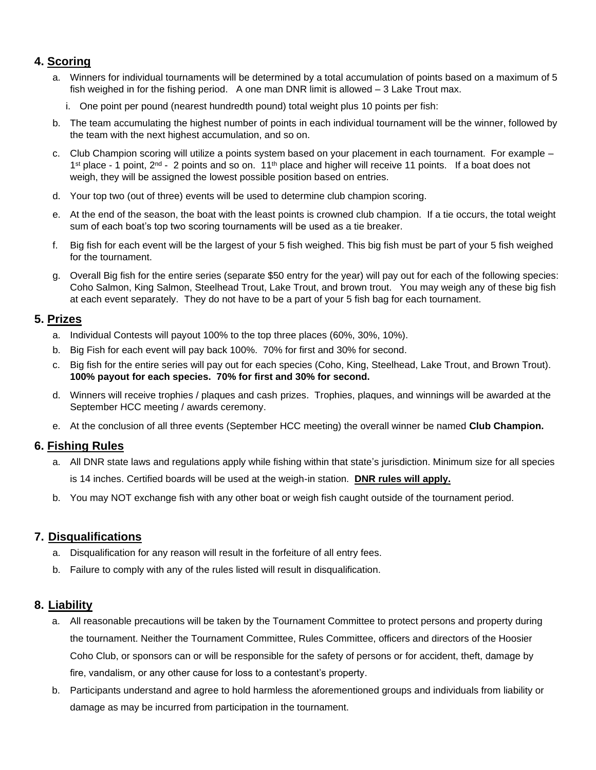### **4. Scoring**

- a. Winners for individual tournaments will be determined by a total accumulation of points based on a maximum of 5 fish weighed in for the fishing period. A one man DNR limit is allowed – 3 Lake Trout max.
	- i. One point per pound (nearest hundredth pound) total weight plus 10 points per fish:
- b. The team accumulating the highest number of points in each individual tournament will be the winner, followed by the team with the next highest accumulation, and so on.
- c. Club Champion scoring will utilize a points system based on your placement in each tournament. For example 1<sup>st</sup> place - 1 point, 2<sup>nd</sup> - 2 points and so on. 11<sup>th</sup> place and higher will receive 11 points. If a boat does not weigh, they will be assigned the lowest possible position based on entries.
- d. Your top two (out of three) events will be used to determine club champion scoring.
- e. At the end of the season, the boat with the least points is crowned club champion. If a tie occurs, the total weight sum of each boat's top two scoring tournaments will be used as a tie breaker.
- f. Big fish for each event will be the largest of your 5 fish weighed. This big fish must be part of your 5 fish weighed for the tournament.
- g. Overall Big fish for the entire series (separate \$50 entry for the year) will pay out for each of the following species: Coho Salmon, King Salmon, Steelhead Trout, Lake Trout, and brown trout. You may weigh any of these big fish at each event separately. They do not have to be a part of your 5 fish bag for each tournament.

#### **5. Prizes**

- a. Individual Contests will payout 100% to the top three places (60%, 30%, 10%).
- b. Big Fish for each event will pay back 100%. 70% for first and 30% for second.
- c. Big fish for the entire series will pay out for each species (Coho, King, Steelhead, Lake Trout, and Brown Trout). **100% payout for each species. 70% for first and 30% for second.**
- d. Winners will receive trophies / plaques and cash prizes. Trophies, plaques, and winnings will be awarded at the September HCC meeting / awards ceremony.
- e. At the conclusion of all three events (September HCC meeting) the overall winner be named **Club Champion.**

#### **6. Fishing Rules**

- a. All DNR state laws and regulations apply while fishing within that state's jurisdiction. Minimum size for all species is 14 inches. Certified boards will be used at the weigh-in station. **DNR rules will apply.**
- b. You may NOT exchange fish with any other boat or weigh fish caught outside of the tournament period.

#### **7. Disqualifications**

- a. Disqualification for any reason will result in the forfeiture of all entry fees.
- b. Failure to comply with any of the rules listed will result in disqualification.

#### **8. Liability**

- a. All reasonable precautions will be taken by the Tournament Committee to protect persons and property during the tournament. Neither the Tournament Committee, Rules Committee, officers and directors of the Hoosier Coho Club, or sponsors can or will be responsible for the safety of persons or for accident, theft, damage by fire, vandalism, or any other cause for loss to a contestant's property.
- b. Participants understand and agree to hold harmless the aforementioned groups and individuals from liability or damage as may be incurred from participation in the tournament.